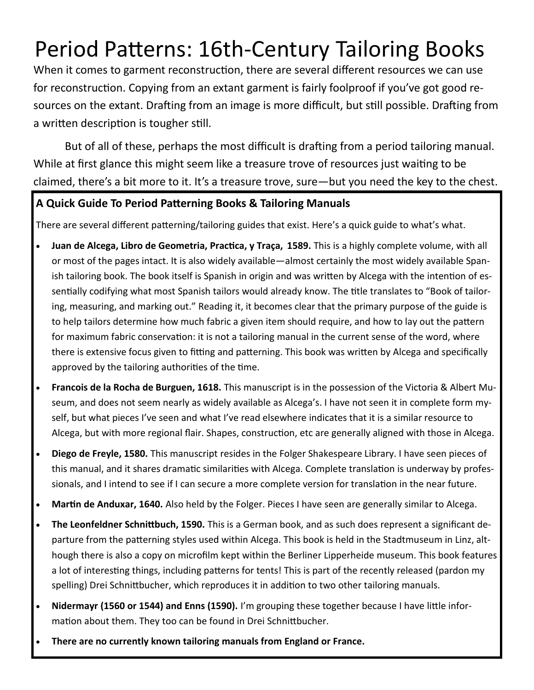# Period Patterns: 16th-Century Tailoring Books

When it comes to garment reconstruction, there are several different resources we can use for reconstruction. Copying from an extant garment is fairly foolproof if you've got good resources on the extant. Drafting from an image is more difficult, but still possible. Drafting from a written description is tougher still.

But of all of these, perhaps the most difficult is drafting from a period tailoring manual. While at first glance this might seem like a treasure trove of resources just waiting to be claimed, there's a bit more to it. It's a treasure trove, sure—but you need the key to the chest.

# **A Quick Guide To Period Patterning Books & Tailoring Manuals**

There are several different patterning/tailoring guides that exist. Here's a quick guide to what's what.

- **Juan de Alcega, Libro de Geometria, Practica, y Traça, 1589.** This is a highly complete volume, with all or most of the pages intact. It is also widely available—almost certainly the most widely available Spanish tailoring book. The book itself is Spanish in origin and was written by Alcega with the intention of essentially codifying what most Spanish tailors would already know. The title translates to "Book of tailoring, measuring, and marking out." Reading it, it becomes clear that the primary purpose of the guide is to help tailors determine how much fabric a given item should require, and how to lay out the pattern for maximum fabric conservation: it is not a tailoring manual in the current sense of the word, where there is extensive focus given to fitting and patterning. This book was written by Alcega and specifically approved by the tailoring authorities of the time.
- **Francois de la Rocha de Burguen, 1618.** This manuscript is in the possession of the Victoria & Albert Museum, and does not seem nearly as widely available as Alcega's. I have not seen it in complete form myself, but what pieces I've seen and what I've read elsewhere indicates that it is a similar resource to Alcega, but with more regional flair. Shapes, construction, etc are generally aligned with those in Alcega.
- **Diego de Freyle, 1580.** This manuscript resides in the Folger Shakespeare Library. I have seen pieces of this manual, and it shares dramatic similarities with Alcega. Complete translation is underway by professionals, and I intend to see if I can secure a more complete version for translation in the near future.
- **Martin de Anduxar, 1640.** Also held by the Folger. Pieces I have seen are generally similar to Alcega.
- **The Leonfeldner Schnittbuch, 1590.** This is a German book, and as such does represent a significant departure from the patterning styles used within Alcega. This book is held in the Stadtmuseum in Linz, although there is also a copy on microfilm kept within the Berliner Lipperheide museum. This book features a lot of interesting things, including patterns for tents! This is part of the recently released (pardon my spelling) Drei Schnittbucher, which reproduces it in addition to two other tailoring manuals.
- **Nidermayr (1560 or 1544) and Enns (1590).** I'm grouping these together because I have little information about them. They too can be found in Drei Schnittbucher.
- **There are no currently known tailoring manuals from England or France.**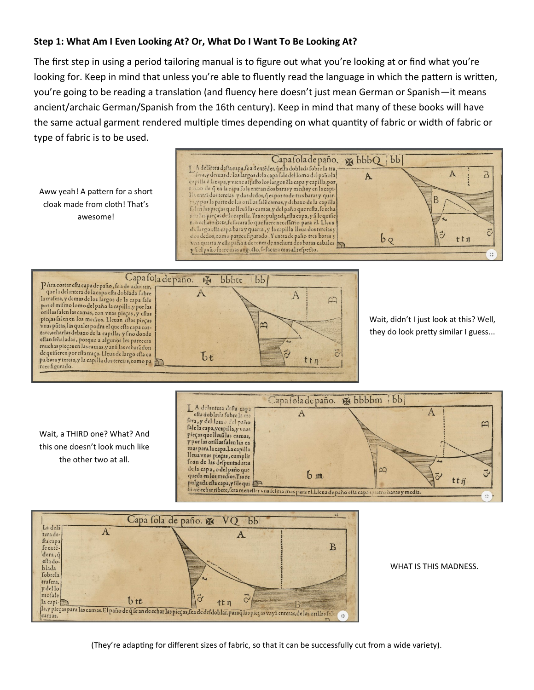#### **Step 1: What Am I Even Looking At? Or, What Do I Want To Be Looking At?**

The first step in using a period tailoring manual is to figure out what you're looking at or find what you're looking for. Keep in mind that unless you're able to fluently read the language in which the pattern is written, you're going to be reading a translation (and fluency here doesn't just mean German or Spanish—it means ancient/archaic German/Spanish from the 16th century). Keep in mind that many of these books will have the same actual garment rendered multiple times depending on what quantity of fabric or width of fabric or type of fabric is to be used.

Aww yeah! A pattern for a short cloak made from cloth! That's awesome!





Wait, didn't I just look at this? Well, they do look pretty similar I guess...

Wait, a THIRD one? What? And this one doesn't look much like the other two at all.





WHAT IS THIS MADNESS.

(They're adapting for different sizes of fabric, so that it can be successfully cut from a wide variety).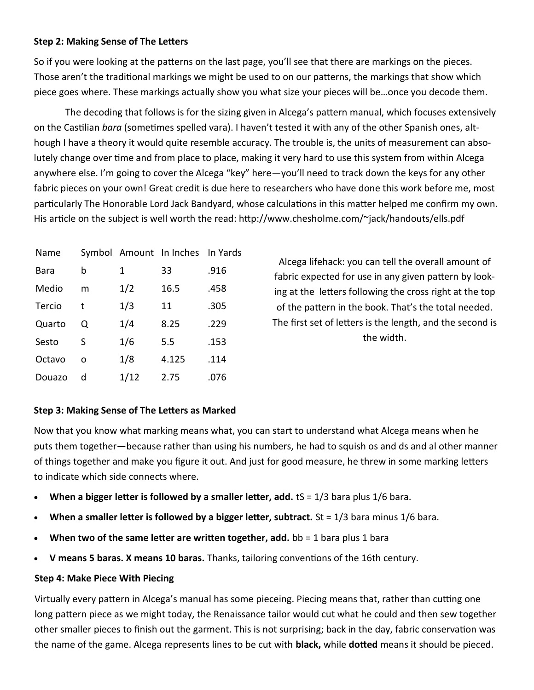### **Step 2: Making Sense of The Letters**

So if you were looking at the patterns on the last page, you'll see that there are markings on the pieces. Those aren't the traditional markings we might be used to on our patterns, the markings that show which piece goes where. These markings actually show you what size your pieces will be…once you decode them.

The decoding that follows is for the sizing given in Alcega's pattern manual, which focuses extensively on the Castilian *bara* (sometimes spelled vara). I haven't tested it with any of the other Spanish ones, although I have a theory it would quite resemble accuracy. The trouble is, the units of measurement can absolutely change over time and from place to place, making it very hard to use this system from within Alcega anywhere else. I'm going to cover the Alcega "key" here—you'll need to track down the keys for any other fabric pieces on your own! Great credit is due here to researchers who have done this work before me, most particularly The Honorable Lord Jack Bandyard, whose calculations in this matter helped me confirm my own. His article on the subject is well worth the read: http://www.chesholme.com/~jack/handouts/ells.pdf

| Name   |   |      | Symbol Amount In Inches In Yards |      |
|--------|---|------|----------------------------------|------|
| Bara   | b | 1    | 33                               | .916 |
| Medio  | m | 1/2  | 16.5                             | .458 |
| Tercio | t | 1/3  | 11                               | .305 |
| Quarto | Ο | 1/4  | 8.25                             | .229 |
| Sesto  | S | 1/6  | 5.5                              | .153 |
| Octavo | O | 1/8  | 4.125                            | .114 |
| Douazo | d | 1/12 | 2.75                             | .076 |

Alcega lifehack: you can tell the overall amount of fabric expected for use in any given pattern by looking at the letters following the cross right at the top of the pattern in the book. That's the total needed. The first set of letters is the length, and the second is the width.

## **Step 3: Making Sense of The Letters as Marked**

Now that you know what marking means what, you can start to understand what Alcega means when he puts them together—because rather than using his numbers, he had to squish os and ds and al other manner of things together and make you figure it out. And just for good measure, he threw in some marking letters to indicate which side connects where.

- **When a bigger letter is followed by a smaller letter, add.** tS = 1/3 bara plus 1/6 bara.
- **When a smaller letter is followed by a bigger letter, subtract.** St = 1/3 bara minus 1/6 bara.
- **When two of the same letter are written together, add.** bb = 1 bara plus 1 bara
- **V means 5 baras. X means 10 baras.** Thanks, tailoring conventions of the 16th century.

## **Step 4: Make Piece With Piecing**

Virtually every pattern in Alcega's manual has some pieceing. Piecing means that, rather than cutting one long pattern piece as we might today, the Renaissance tailor would cut what he could and then sew together other smaller pieces to finish out the garment. This is not surprising; back in the day, fabric conservation was the name of the game. Alcega represents lines to be cut with **black,** while **dotted** means it should be pieced.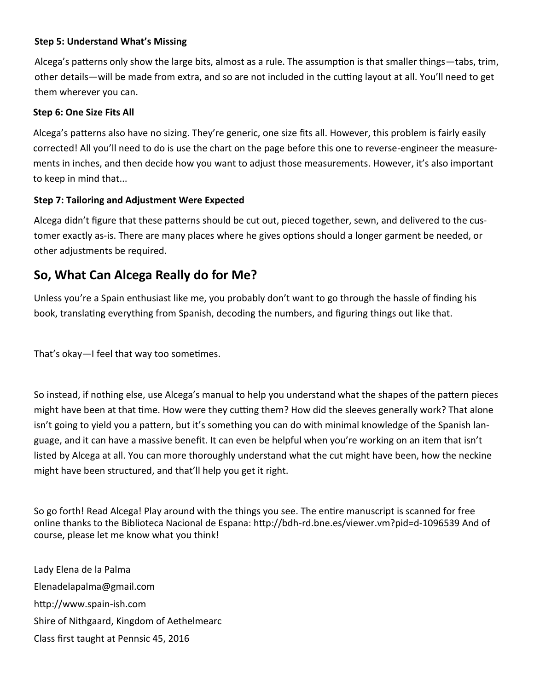## **Step 5: Understand What's Missing**

Alcega's patterns only show the large bits, almost as a rule. The assumption is that smaller things—tabs, trim, other details—will be made from extra, and so are not included in the cutting layout at all. You'll need to get them wherever you can.

### **Step 6: One Size Fits All**

Alcega's patterns also have no sizing. They're generic, one size fits all. However, this problem is fairly easily corrected! All you'll need to do is use the chart on the page before this one to reverse-engineer the measurements in inches, and then decide how you want to adjust those measurements. However, it's also important to keep in mind that...

#### **Step 7: Tailoring and Adjustment Were Expected**

Alcega didn't figure that these patterns should be cut out, pieced together, sewn, and delivered to the customer exactly as-is. There are many places where he gives options should a longer garment be needed, or other adjustments be required.

# **So, What Can Alcega Really do for Me?**

Unless you're a Spain enthusiast like me, you probably don't want to go through the hassle of finding his book, translating everything from Spanish, decoding the numbers, and figuring things out like that.

That's okay—I feel that way too sometimes.

So instead, if nothing else, use Alcega's manual to help you understand what the shapes of the pattern pieces might have been at that time. How were they cutting them? How did the sleeves generally work? That alone isn't going to yield you a pattern, but it's something you can do with minimal knowledge of the Spanish language, and it can have a massive benefit. It can even be helpful when you're working on an item that isn't listed by Alcega at all. You can more thoroughly understand what the cut might have been, how the neckine might have been structured, and that'll help you get it right.

So go forth! Read Alcega! Play around with the things you see. The entire manuscript is scanned for free online thanks to the Biblioteca Nacional de Espana: http://bdh-rd.bne.es/viewer.vm?pid=d-1096539 And of course, please let me know what you think!

Lady Elena de la Palma Elenadelapalma@gmail.com http://www.spain-ish.com Shire of Nithgaard, Kingdom of Aethelmearc Class first taught at Pennsic 45, 2016